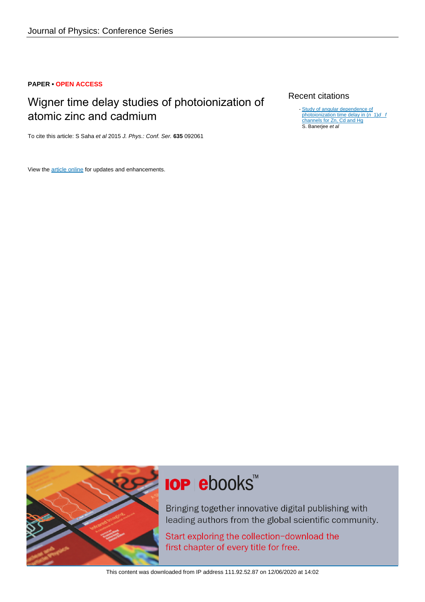### **PAPER • OPEN ACCESS**

## Wigner time delay studies of photoionization of atomic zinc and cadmium

To cite this article: S Saha et al 2015 J. Phys.: Conf. Ser. **635** 092061

View the [article online](https://doi.org/10.1088/1742-6596/635/9/092061) for updates and enhancements.

### Recent citations

[Study of angular dependence of](http://iopscience.iop.org/1742-6596/875/3/022025)<br>[photoionization time delay in \(](http://iopscience.iop.org/1742-6596/875/3/022025)[n](http://iopscience.iop.org/1742-6596/875/3/022025)\_1)[d](http://iopscience.iop.org/1742-6596/875/3/022025) \_t [channels for Zn, Cd and Hg](http://iopscience.iop.org/1742-6596/875/3/022025) S. Banerjee et al -



# **IOP ebooks**™

Bringing together innovative digital publishing with leading authors from the global scientific community.

Start exploring the collection-download the first chapter of every title for free.